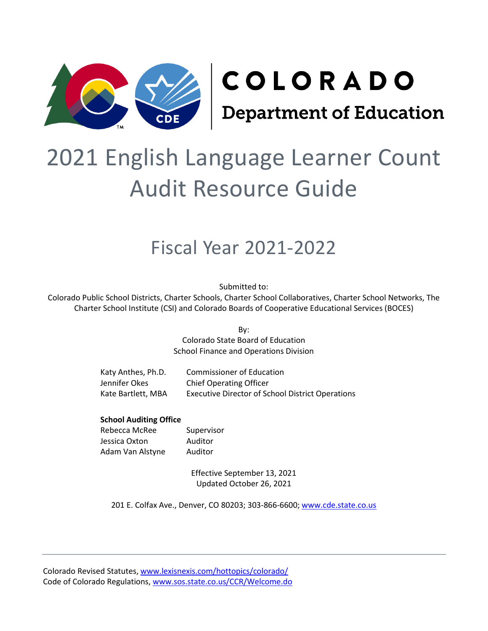

# 2021 English Language Learner Count Audit Resource Guide

## Fiscal Year 2021-2022

Submitted to:

Colorado Public School Districts, Charter Schools, Charter School Collaboratives, Charter School Networks, The Charter School Institute (CSI) and Colorado Boards of Cooperative Educational Services (BOCES)

> By: Colorado State Board of Education School Finance and Operations Division

| Katy Anthes, Ph.D. | <b>Commissioner of Education</b>                        |
|--------------------|---------------------------------------------------------|
| Jennifer Okes      | <b>Chief Operating Officer</b>                          |
| Kate Bartlett, MBA | <b>Executive Director of School District Operations</b> |

#### **School Auditing Office**

Rebecca McRee Supervisor Jessica Oxton Auditor Adam Van Alstyne Auditor

Effective September 13, 2021 Updated October 26, 2021

201 E. Colfax Ave., Denver, CO 80203; 303-866-6600; [www.cde.state.co.us](http://www.cde.state.co.us/)

Colorado Revised Statutes, [www.lexisnexis.com/hottopics/colorado/](https://www.lexisnexis.com/hottopics/colorado/) Code of Colorado Regulations[, www.sos.state.co.us/CCR/Welcome.do](http://www.sos.state.co.us/CCR/Welcome.do)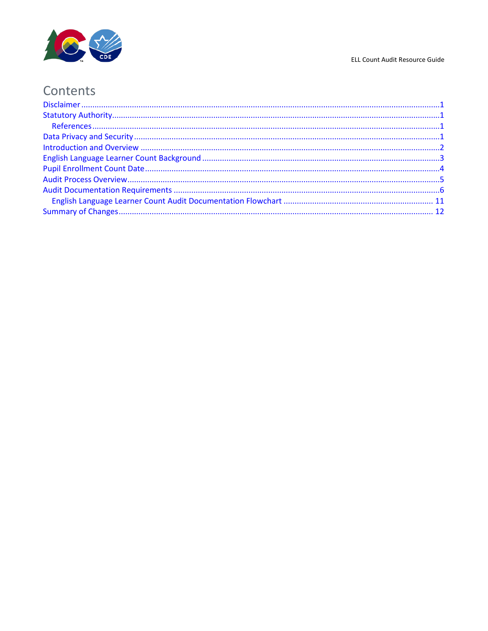

#### ELL Count Audit Resource Guide

## Contents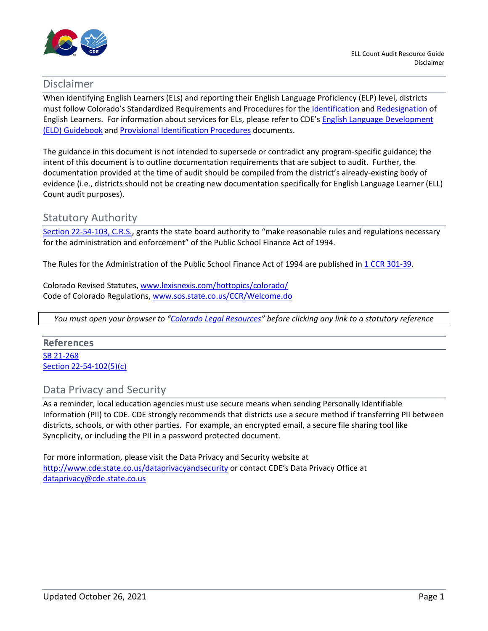

### <span id="page-2-0"></span>Disclaimer

When identifying English Learners (ELs) and reporting their English Language Proficiency (ELP) level, districts must follow Colorado's Standardized Requirements and Procedures for th[e Identification](https://www.cde.state.co.us/cde_english/identification-placement) an[d Redesignation](https://www.cde.state.co.us/cde_english/redesignation) of English Learners. For information about services for ELs, please refer to CDE's [English Language Development](https://www.cde.state.co.us/cde_english/eldguidebook) (ELD) [Guidebook](https://www.cde.state.co.us/cde_english/eldguidebook) an[d Provisional Identification Procedures](http://www.cde.state.co.us/cde_english/coloradointerimenglishlearneridentificationprocedures) documents.

The guidance in this document is not intended to supersede or contradict any program-specific guidance; the intent of this document is to outline documentation requirements that are subject to audit. Further, the documentation provided at the time of audit should be compiled from the district's already-existing body of evidence (i.e., districts should not be creating new documentation specifically for English Language Learner (ELL) Count audit purposes).

## <span id="page-2-1"></span>Statutory Authority

Section [22-54-103,](https://advance.lexis.com/documentpage/?pdmfid=1000516&crid=4d4973be-1a72-44f1-a963-7f48004100c5&nodeid=AAWAAHAABAACAAD&nodepath=%2FROOT%2FAAW%2FAAWAAH%2FAAWAAHAAB%2FAAWAAHAABAAC%2FAAWAAHAABAACAAD&level=5&haschildren=&populated=false&title=22-54-103.+Definitions&config=014FJAAyNGJkY2Y4Zi1mNjgyLTRkN2YtYmE4OS03NTYzNzYzOTg0OGEKAFBvZENhdGFsb2d592qv2Kywlf8caKqYROP5&pddocfullpath=%2Fshared%2Fdocument%2Fstatutes-legislation%2Furn%3AcontentItem%3A61P5-WTJ1-DYDC-J3JJ-00008-00&ecomp=L38_9kk&prid=ab0be101-ef3c-4e28-b488-a31b8de26d5f) C.R.S., grants the state board authority to "make reasonable rules and regulations necessary for the administration and enforcement" of the Public School Finance Act of 1994.

The Rules for the Administration of the Public School Finance Act of 1994 are published in 1 CCR [301-39.](http://www.sos.state.co.us/CCR/GenerateRulePdf.do?ruleVersionId=4949&fileName=1%20CCR%20301-39)

Colorado Revised Statutes, [www.lexisnexis.com/hottopics/colorado/](http://www.lexisnexis.com/hottopics/colorado/) Code of Colorado Regulations[, www.sos.state.co.us/CCR/Welcome.do](http://www.sos.state.co.us/CCR/Welcome.do)

*You must open your browser to ["Colorado Legal Resources"](http://www.lexisnexis.com/hottopics/colorado/) before clicking any link to a statutory reference*

<span id="page-2-2"></span>**References** [SB 21-268](http://leg.colorado.gov/sites/default/files/2021a_268_signed.pdf) [Section 22-54-102\(5\)\(c\)](https://advance.lexis.com/documentpage/?pdmfid=1000516&crid=d9dd70be-e844-4961-b906-1e40bee105fa&nodeid=AAWAAHAABAACAAC&nodepath=%2FROOT%2FAAW%2FAAWAAH%2FAAWAAHAAB%2FAAWAAHAABAAC%2FAAWAAHAABAACAAC&level=5&haschildren=&populated=false&title=22-54-102.+Legislative+declaration+-+statewide+applicability+-+intergovernmental+agreements&config=014FJAAyNGJkY2Y4Zi1mNjgyLTRkN2YtYmE4OS03NTYzNzYzOTg0OGEKAFBvZENhdGFsb2d592qv2Kywlf8caKqYROP5&pddocfullpath=%2Fshared%2Fdocument%2Fstatutes-legislation%2Furn%3AcontentItem%3A631N-NC23-CH1B-T03H-00008-00&ecomp=_g1_9kk&prid=910a2577-bf17-4a5c-896f-b2d2086cc376)

## <span id="page-2-3"></span>Data Privacy and Security

As a reminder, local education agencies must use secure means when sending Personally Identifiable Information (PII) to CDE. CDE strongly recommends that districts use a secure method if transferring PII between districts, schools, or with other parties. For example, an encrypted email, a secure file sharing tool like Syncplicity, or including the PII in a password protected document.

For more information, please visit the Data Privacy and Security website at <http://www.cde.state.co.us/dataprivacyandsecurity> or contact CDE's Data Privacy Office at [dataprivacy@cde.state.co.us](mailto:dataprivacy@cde.state.co.us)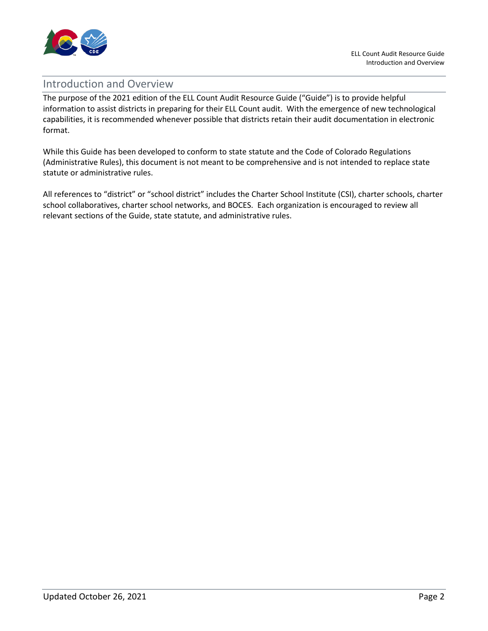

## <span id="page-3-0"></span>Introduction and Overview

The purpose of the 2021 edition of the ELL Count Audit Resource Guide ("Guide") is to provide helpful information to assist districts in preparing for their ELL Count audit. With the emergence of new technological capabilities, it is recommended whenever possible that districts retain their audit documentation in electronic format.

While this Guide has been developed to conform to state statute and the Code of Colorado Regulations (Administrative Rules), this document is not meant to be comprehensive and is not intended to replace state statute or administrative rules.

All references to "district" or "school district" includes the Charter School Institute (CSI), charter schools, charter school collaboratives, charter school networks, and BOCES. Each organization is encouraged to review all relevant sections of the Guide, state statute, and administrative rules.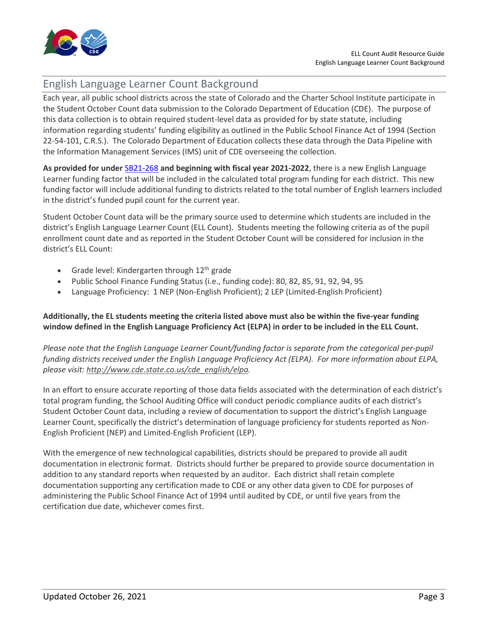

## <span id="page-4-0"></span>English Language Learner Count Background

Each year, all public school districts across the state of Colorado and the Charter School Institute participate in the Student October Count data submission to the Colorado Department of Education (CDE). The purpose of this data collection is to obtain required student-level data as provided for by state statute, including information regarding students' funding eligibility as outlined in the Public School Finance Act of 1994 (Section 22-54-101, C.R.S.). The Colorado Department of Education collects these data through the Data Pipeline with the Information Management Services (IMS) unit of CDE overseeing the collection.

**As provided for under** [SB21-268](http://leg.colorado.gov/sites/default/files/2021a_268_signed.pdf) **and beginning with fiscal year 2021-2022**, there is a new English Language Learner funding factor that will be included in the calculated total program funding for each district. This new funding factor will include additional funding to districts related to the total number of English learners included in the district's funded pupil count for the current year.

Student October Count data will be the primary source used to determine which students are included in the district's English Language Learner Count (ELL Count). Students meeting the following criteria as of the pupil enrollment count date and as reported in the Student October Count will be considered for inclusion in the district's ELL Count:

- Grade level: Kindergarten through  $12<sup>th</sup>$  grade
- Public School Finance Funding Status (i.e., funding code): 80, 82, 85, 91, 92, 94, 95
- Language Proficiency: 1 NEP (Non-English Proficient); 2 LEP (Limited-English Proficient)

#### **Additionally, the EL students meeting the criteria listed above must also be within the five-year funding window defined in the English Language Proficiency Act (ELPA) in order to be included in the ELL Count.**

*Please note that the English Language Learner Count/funding factor is separate from the categorical per-pupil funding districts received under the English Language Proficiency Act (ELPA). For more information about ELPA, please visit: [http://www.cde.state.co.us/cde\\_english/elpa.](http://www.cde.state.co.us/cde_english/elpa)*

In an effort to ensure accurate reporting of those data fields associated with the determination of each district's total program funding, the School Auditing Office will conduct periodic compliance audits of each district's Student October Count data, including a review of documentation to support the district's English Language Learner Count, specifically the district's determination of language proficiency for students reported as Non-English Proficient (NEP) and Limited-English Proficient (LEP).

With the emergence of new technological capabilities, districts should be prepared to provide all audit documentation in electronic format. Districts should further be prepared to provide source documentation in addition to any standard reports when requested by an auditor. Each district shall retain complete documentation supporting any certification made to CDE or any other data given to CDE for purposes of administering the Public School Finance Act of 1994 until audited by CDE, or until five years from the certification due date, whichever comes first.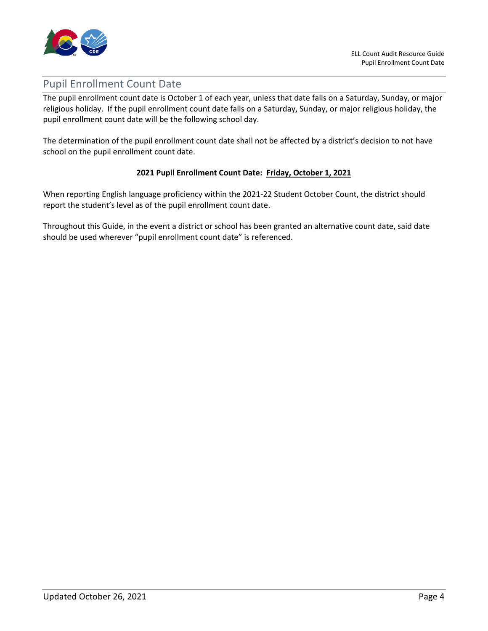

## <span id="page-5-0"></span>Pupil Enrollment Count Date

The pupil enrollment count date is October 1 of each year, unless that date falls on a Saturday, Sunday, or major religious holiday. If the pupil enrollment count date falls on a Saturday, Sunday, or major religious holiday, the pupil enrollment count date will be the following school day.

The determination of the pupil enrollment count date shall not be affected by a district's decision to not have school on the pupil enrollment count date.

#### **2021 Pupil Enrollment Count Date: Friday, October 1, 2021**

When reporting English language proficiency within the 2021-22 Student October Count, the district should report the student's level as of the pupil enrollment count date.

Throughout this Guide, in the event a district or school has been granted an alternative count date, said date should be used wherever "pupil enrollment count date" is referenced.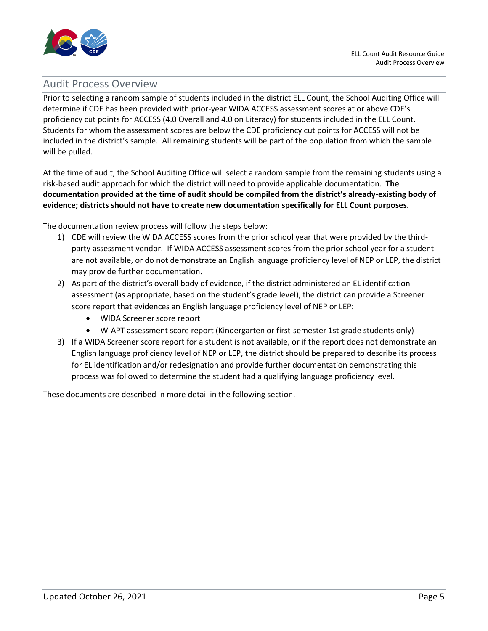

## <span id="page-6-0"></span>Audit Process Overview

Prior to selecting a random sample of students included in the district ELL Count, the School Auditing Office will determine if CDE has been provided with prior-year WIDA ACCESS assessment scores at or above CDE's proficiency cut points for ACCESS (4.0 Overall and 4.0 on Literacy) for students included in the ELL Count. Students for whom the assessment scores are below the CDE proficiency cut points for ACCESS will not be included in the district's sample. All remaining students will be part of the population from which the sample will be pulled.

At the time of audit, the School Auditing Office will select a random sample from the remaining students using a risk-based audit approach for which the district will need to provide applicable documentation. **The documentation provided at the time of audit should be compiled from the district's already-existing body of evidence; districts should not have to create new documentation specifically for ELL Count purposes.**

The documentation review process will follow the steps below:

- 1) CDE will review the WIDA ACCESS scores from the prior school year that were provided by the thirdparty assessment vendor. If WIDA ACCESS assessment scores from the prior school year for a student are not available, or do not demonstrate an English language proficiency level of NEP or LEP, the district may provide further documentation.
- 2) As part of the district's overall body of evidence, if the district administered an EL identification assessment (as appropriate, based on the student's grade level), the district can provide a Screener score report that evidences an English language proficiency level of NEP or LEP:
	- WIDA Screener score report
	- W-APT assessment score report (Kindergarten or first-semester 1st grade students only)
- 3) If a WIDA Screener score report for a student is not available, or if the report does not demonstrate an English language proficiency level of NEP or LEP, the district should be prepared to describe its process for EL identification and/or redesignation and provide further documentation demonstrating this process was followed to determine the student had a qualifying language proficiency level.

These documents are described in more detail in the following section.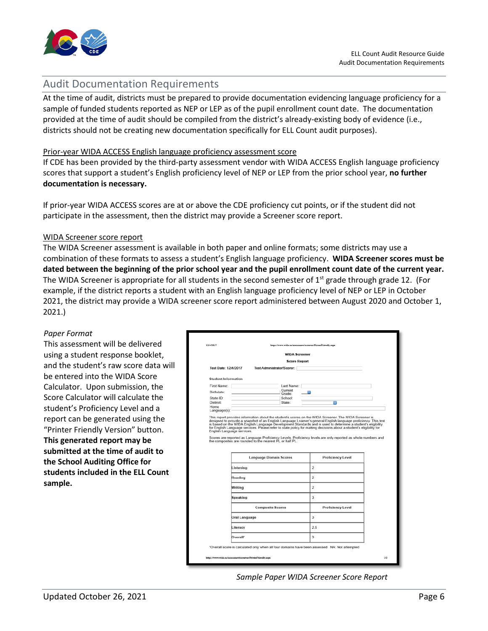

## <span id="page-7-0"></span>Audit Documentation Requirements

At the time of audit, districts must be prepared to provide documentation evidencing language proficiency for a sample of funded students reported as NEP or LEP as of the pupil enrollment count date. The documentation provided at the time of audit should be compiled from the district's already-existing body of evidence (i.e., districts should not be creating new documentation specifically for ELL Count audit purposes).

#### Prior-year WIDA ACCESS English language proficiency assessment score

If CDE has been provided by the third-party assessment vendor with WIDA ACCESS English language proficiency scores that support a student's English proficiency level of NEP or LEP from the prior school year, **no further documentation is necessary.**

If prior-year WIDA ACCESS scores are at or above the CDE proficiency cut points, or if the student did not participate in the assessment, then the district may provide a Screener score report.

#### WIDA Screener score report

The WIDA Screener assessment is available in both paper and online formats; some districts may use a combination of these formats to assess a student's English language proficiency. **WIDA Screener scores must be dated between the beginning of the prior school year and the pupil enrollment count date of the current year.** The WIDA Screener is appropriate for all students in the second semester of  $1<sup>st</sup>$  grade through grade 12. (For example, if the district reports a student with an English language proficiency level of NEP or LEP in October 2021, the district may provide a WIDA screener score report administered between August 2020 and October 1, 2021.)

#### *Paper Format*

This assessment will be delivered using a student response booklet, and the student's raw score data will be entered into the WIDA Score Calculator. Upon submission, the Score Calculator will calculate the student's Proficiency Level and a report can be generated using the "Printer Friendly Version" button. **This generated report may be submitted at the time of audit to the School Auditing Office for students included in the ELL Count sample.**

|                            | <b>WIDA Screener</b>                                                                                                                                                                                                                                                                            |                                                                                                              |                                                                                                                 |
|----------------------------|-------------------------------------------------------------------------------------------------------------------------------------------------------------------------------------------------------------------------------------------------------------------------------------------------|--------------------------------------------------------------------------------------------------------------|-----------------------------------------------------------------------------------------------------------------|
|                            | <b>Score Report</b>                                                                                                                                                                                                                                                                             |                                                                                                              |                                                                                                                 |
| Test Date: 12/4/2017       | Test Administrator/Scorer:                                                                                                                                                                                                                                                                      |                                                                                                              |                                                                                                                 |
| <b>Student Information</b> |                                                                                                                                                                                                                                                                                                 |                                                                                                              |                                                                                                                 |
| First Name:                | Last Name:                                                                                                                                                                                                                                                                                      |                                                                                                              |                                                                                                                 |
| Birthdate:                 | Current                                                                                                                                                                                                                                                                                         |                                                                                                              |                                                                                                                 |
| State ID:                  | Grade:<br>School:                                                                                                                                                                                                                                                                               |                                                                                                              |                                                                                                                 |
| District:                  | State:                                                                                                                                                                                                                                                                                          | в                                                                                                            |                                                                                                                 |
| Home<br>Language(s): -     |                                                                                                                                                                                                                                                                                                 |                                                                                                              |                                                                                                                 |
| English Language services. | for English Language services. Please refer to state policy for making decisions about a student's eligibility for<br>Scores are reported as Language Proficiency Levels. Proficiency levels are only reported as whole numbers and<br>the composites are rounded to the nearest PL or half PL. | is based on the WIDA English Language Development Standards and is used to determine a student's eligibility |                                                                                                                 |
|                            | <b>Language Domain Scores</b>                                                                                                                                                                                                                                                                   | <b>Proficiency Level</b>                                                                                     |                                                                                                                 |
| Listening                  |                                                                                                                                                                                                                                                                                                 | $\overline{2}$                                                                                               |                                                                                                                 |
| Reading                    |                                                                                                                                                                                                                                                                                                 | $\overline{2}$                                                                                               |                                                                                                                 |
| Writing                    |                                                                                                                                                                                                                                                                                                 | $\overline{2}$                                                                                               |                                                                                                                 |
| Speaking                   |                                                                                                                                                                                                                                                                                                 | 3                                                                                                            |                                                                                                                 |
|                            | <b>Composite Scores</b>                                                                                                                                                                                                                                                                         | <b>Proficiency Level</b>                                                                                     |                                                                                                                 |
|                            | Oral Language                                                                                                                                                                                                                                                                                   | 3                                                                                                            |                                                                                                                 |
| Literacy                   |                                                                                                                                                                                                                                                                                                 | 2.5                                                                                                          |                                                                                                                 |
| Overall*                   |                                                                                                                                                                                                                                                                                                 | 3                                                                                                            | designed to provide a snapshot of an English Language Learner's general English language proficiency. This test |

*Sample Paper WIDA Screener Score Report*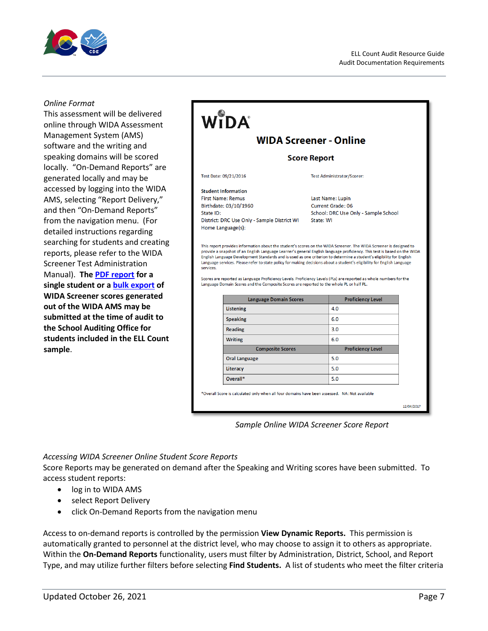

#### *Online Format*

This assessment will be delivered online through WIDA Assessment Management System (AMS) software and the writing and speaking domains will be scored locally. "On-Demand Reports" are generated locally and may be accessed by logging into the WIDA AMS, selecting "Report Delivery," and then "On-Demand Reports" from the navigation menu. (For detailed instructions regarding searching for students and creating reports, please refer to the WIDA Screener Test Administration Manual). **The [PDF report](#page-8-0) for a single student or a [bulk export](#page-9-0) of WIDA Screener scores generated out of the WIDA AMS may be submitted at the time of audit to the School Auditing Office for students included in the ELL Count sample**.

#### WIDA **WIDA Screener - Online Score Report** Test Date: 09/21/2016 **Test Administrator/Scorer: Student Information First Name: Remus** Last Name: Lupin Birthdate: 03/10/1960 Current Grade: 06 School: DRC Use Only - Sample School State ID: District: DRC Use Only - Sample District WI State: WI Home Language(s): This report provides information about the student's scores on the WIDA Screener. The WIDA Screener is designed to provide a snapshot of an English Language Learner's general English language proficiency. This test is based on the WIDA .<br>English Language Development Standards and is used as one criterion to determine a student's eligibility for English Language services. Please refer to state policy for making decisions about a student's eligibility for English Language services. Scores are reported as Language Proficiency Levels, Proficiency Levels (PLs) are reported as whole numbers for the Language Domain Scores and the Composite Scores are reported to the whole PL or half PL. **Language Domain Scores Proficiency Level Listening**  $4.0$ **Speaking** 60  $30$ **Reading** Writing 60 **Composite Scores Proficiency Level**  $5.0$ **Oral Language**  $5.0$ Literacy

\*Overall Score is calculated only when all four domains have been assessed. NA: Not available

12/04/2017

#### *Sample Online WIDA Screener Score Report*

 $5.0$ 

#### <span id="page-8-0"></span>*Accessing WIDA Screener Online Student Score Reports*

Score Reports may be generated on demand after the Speaking and Writing scores have been submitted. To access student reports:

Overall\*

- log in to WIDA AMS
- select Report Delivery
- click On-Demand Reports from the navigation menu

Access to on-demand reports is controlled by the permission **View Dynamic Reports.** This permission is automatically granted to personnel at the district level, who may choose to assign it to others as appropriate. Within the **On-Demand Reports** functionality, users must filter by Administration, District, School, and Report Type, and may utilize further filters before selecting **Find Students.** A list of students who meet the filter criteria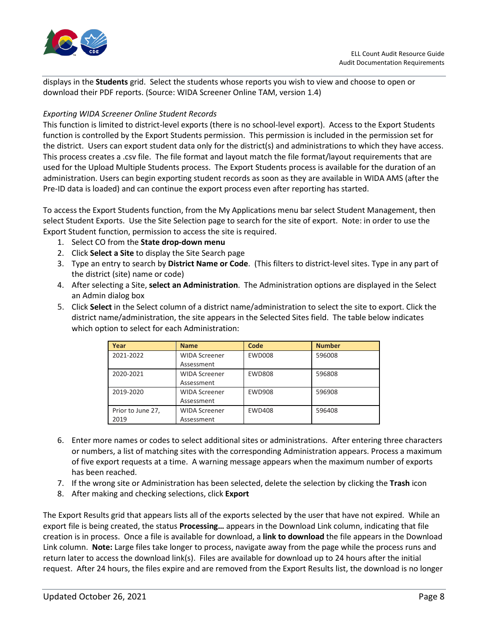

displays in the **Students** grid. Select the students whose reports you wish to view and choose to open or download their PDF reports. (Source: WIDA Screener Online TAM, version 1.4)

#### <span id="page-9-0"></span>*Exporting WIDA Screener Online Student Records*

This function is limited to district-level exports (there is no school-level export). Access to the Export Students function is controlled by the Export Students permission. This permission is included in the permission set for the district. Users can export student data only for the district(s) and administrations to which they have access. This process creates a .csv file. The file format and layout match the file format/layout requirements that are used for the Upload Multiple Students process. The Export Students process is available for the duration of an administration. Users can begin exporting student records as soon as they are available in WIDA AMS (after the Pre-ID data is loaded) and can continue the export process even after reporting has started.

To access the Export Students function, from the My Applications menu bar select Student Management, then select Student Exports. Use the Site Selection page to search for the site of export. Note: in order to use the Export Student function, permission to access the site is required.

- 1. Select CO from the **State drop-down menu**
- 2. Click **Select a Site** to display the Site Search page
- 3. Type an entry to search by **District Name or Code**. (This filters to district-level sites. Type in any part of the district (site) name or code)
- 4. After selecting a Site, **select an Administration**. The Administration options are displayed in the Select an Admin dialog box
- 5. Click **Select** in the Select column of a district name/administration to select the site to export. Click the district name/administration, the site appears in the Selected Sites field. The table below indicates which option to select for each Administration:

| Year                      | <b>Name</b>                        | Code          | <b>Number</b> |
|---------------------------|------------------------------------|---------------|---------------|
| 2021-2022                 | <b>WIDA Screener</b><br>Assessment | <b>EWD008</b> | 596008        |
| 2020-2021                 | <b>WIDA Screener</b><br>Assessment | <b>EWD808</b> | 596808        |
| 2019-2020                 | <b>WIDA Screener</b><br>Assessment | <b>EWD908</b> | 596908        |
| Prior to June 27,<br>2019 | <b>WIDA Screener</b><br>Assessment | <b>EWD408</b> | 596408        |

- 6. Enter more names or codes to select additional sites or administrations. After entering three characters or numbers, a list of matching sites with the corresponding Administration appears. Process a maximum of five export requests at a time. A warning message appears when the maximum number of exports has been reached.
- 7. If the wrong site or Administration has been selected, delete the selection by clicking the **Trash** icon
- 8. After making and checking selections, click **Export**

The Export Results grid that appears lists all of the exports selected by the user that have not expired. While an export file is being created, the status **Processing…** appears in the Download Link column, indicating that file creation is in process. Once a file is available for download, a **link to download** the file appears in the Download Link column. **Note:** Large files take longer to process, navigate away from the page while the process runs and return later to access the download link(s). Files are available for download up to 24 hours after the initial request. After 24 hours, the files expire and are removed from the Export Results list, the download is no longer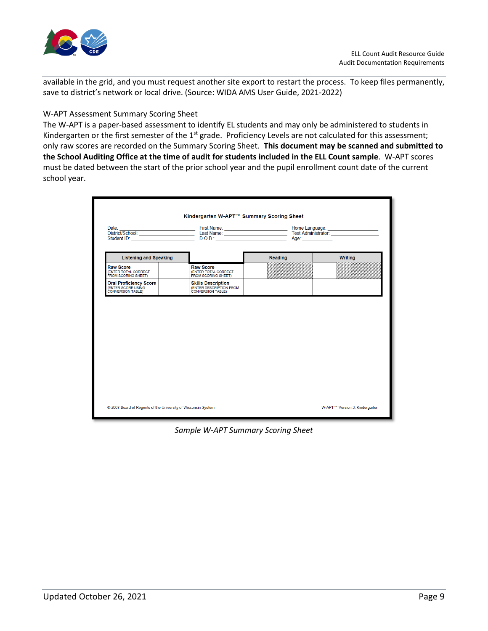

available in the grid, and you must request another site export to restart the process. To keep files permanently, save to district's network or local drive. (Source: WIDA AMS User Guide, 2021-2022)

#### W-APT Assessment Summary Scoring Sheet

The W-APT is a paper-based assessment to identify EL students and may only be administered to students in Kindergarten or the first semester of the  $1<sup>st</sup>$  grade. Proficiency Levels are not calculated for this assessment; only raw scores are recorded on the Summary Scoring Sheet. **This document may be scanned and submitted to the School Auditing Office at the time of audit for students included in the ELL Count sample**. W-APT scores must be dated between the start of the prior school year and the pupil enrollment count date of the current school year.

|                                                                                 | Date: Unit of Changes (Changes Changes Changes Changes Changes Changes Changes Changes Changes Changes Changes Changes Changes Changes Changes (Changes Changes Changes Changes Changes Changes Changes Changes Changes Change |         |         |
|---------------------------------------------------------------------------------|--------------------------------------------------------------------------------------------------------------------------------------------------------------------------------------------------------------------------------|---------|---------|
| <b>Listening and Speaking</b>                                                   |                                                                                                                                                                                                                                | Reading | Writing |
| <b>Raw Score</b><br>(ENTER TOTAL CORRECT<br>FROM SCORING SHEET)                 | <b>Raw Score</b><br>(ENTER TOTAL CORRECT<br>FROM SCORING SHEET)                                                                                                                                                                |         |         |
| <b>Oral Proficiency Score</b><br>(ENTER SCORE USING<br><b>CONVERSION TABLE)</b> | <b>Skills Description</b><br>(ENTER DESCRIPTION FROM<br><b>CONVERSION TABLE)</b>                                                                                                                                               |         |         |
|                                                                                 |                                                                                                                                                                                                                                |         |         |
|                                                                                 |                                                                                                                                                                                                                                |         |         |

*Sample W-APT Summary Scoring Sheet*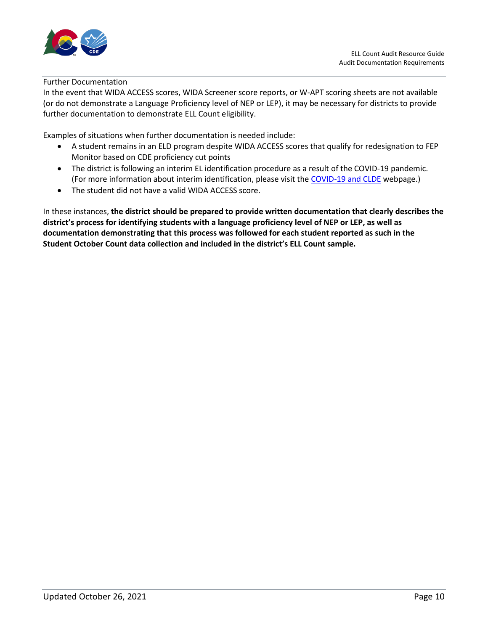

#### Further Documentation

In the event that WIDA ACCESS scores, WIDA Screener score reports, or W-APT scoring sheets are not available (or do not demonstrate a Language Proficiency level of NEP or LEP), it may be necessary for districts to provide further documentation to demonstrate ELL Count eligibility.

Examples of situations when further documentation is needed include:

- A student remains in an ELD program despite WIDA ACCESS scores that qualify for redesignation to FEP Monitor based on CDE proficiency cut points
- The district is following an interim EL identification procedure as a result of the COVID-19 pandemic. (For more information about interim identification, please visit the [COVID-19 and CLDE](http://www.cde.state.co.us/cde_english/covid19andclde) webpage.)
- The student did not have a valid WIDA ACCESS score.

In these instances, **the district should be prepared to provide written documentation that clearly describes the district's process for identifying students with a language proficiency level of NEP or LEP, as well as documentation demonstrating that this process was followed for each student reported as such in the Student October Count data collection and included in the district's ELL Count sample.**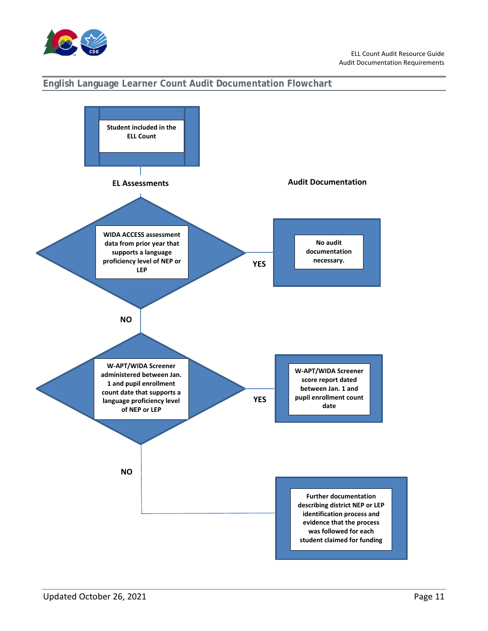

#### <span id="page-12-0"></span>**English Language Learner Count Audit Documentation Flowchart**